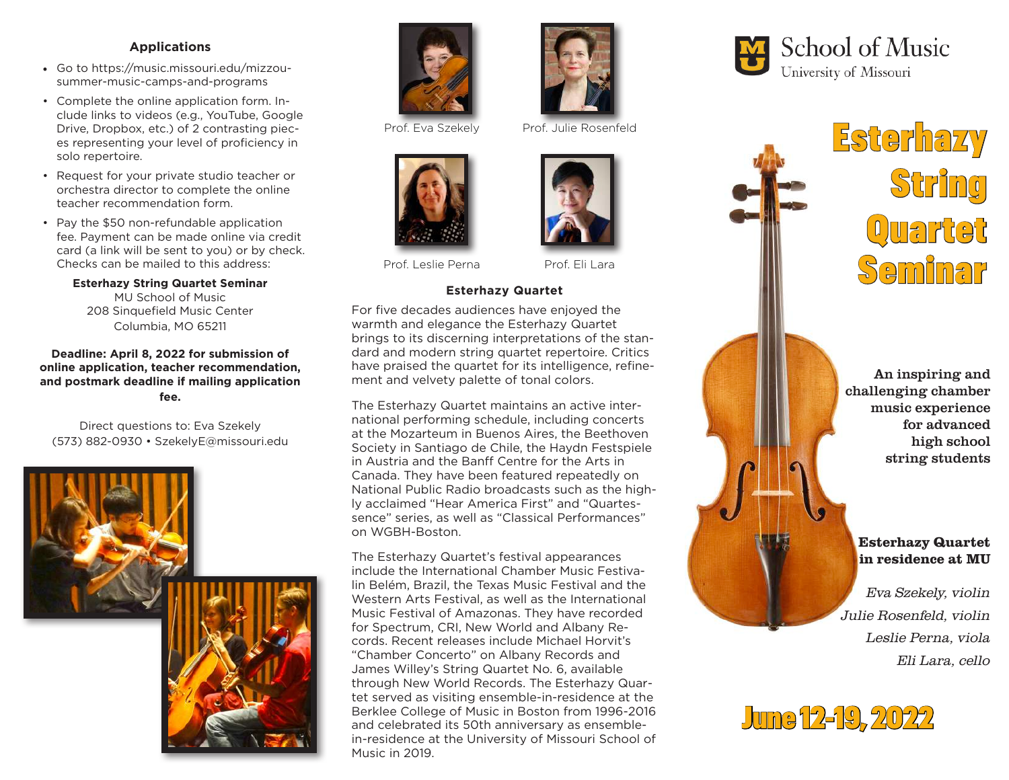## **Applications**

- Go to https://music.missouri.edu/mizzousummer-music-camps-and-programs
- Complete the online application form. Include links to videos (e.g., YouTube, Google Drive, Dropbox, etc.) of 2 contrasting pieces representing your level of proficiency in solo repertoire.
- Request for your private studio teacher or orchestra director to complete the online teacher recommendation form.
- Pay the \$50 non-refundable application fee. Payment can be made online via credit card (a link will be sent to you) or by check. Checks can be mailed to this address:

**Esterhazy String Quartet Seminar** MU School of Music 208 Sinquefield Music Center Columbia, MO 65211

### **Deadline: April 8, 2022 for submission of online application, teacher recommendation, and postmark deadline if mailing application fee.**

Direct questions to: Eva Szekely (573) 882-0930 • SzekelyE@missouri.edu







Prof. Leslie Perna Prof. Eli Lara

## **Esterhazy Quartet**

For five decades audiences have enjoyed the warmth and elegance the Esterhazy Quartet brings to its discerning interpretations of the standard and modern string quartet repertoire. Critics have praised the quartet for its intelligence, refinement and velvety palette of tonal colors.

The Esterhazy Quartet maintains an active international performing schedule, including concerts at the Mozarteum in Buenos Aires, the Beethoven Society in Santiago de Chile, the Haydn Festspiele in Austria and the Banff Centre for the Arts in Canada. They have been featured repeatedly on National Public Radio broadcasts such as the highly acclaimed "Hear America First" and "Quartessence" series, as well as "Classical Performances" on WGBH-Boston.

The Esterhazy Quartet's festival appearances include the International Chamber Music Festivalin Belém, Brazil, the Texas Music Festival and the Western Arts Festival, as well as the International Music Festival of Amazonas. They have recorded for Spectrum, CRI, New World and Albany Records. Recent releases include Michael Horvit's "Chamber Concerto" on Albany Records and James Willey's String Quartet No. 6, available through New World Records. The Esterhazy Quartet served as visiting ensemble-in-residence at the Berklee College of Music in Boston from 1996-2016 and celebrated its 50th anniversary as ensemblein-residence at the University of Missouri School of Music in 2019.





An inspiring and challenging chamber music experience for advanced high school string students

# Esterhazy Quartet in residence at MU

Eva Szekely, violin Julie Rosenfeld, violin Leslie Perna, viola Eli Lara, cello